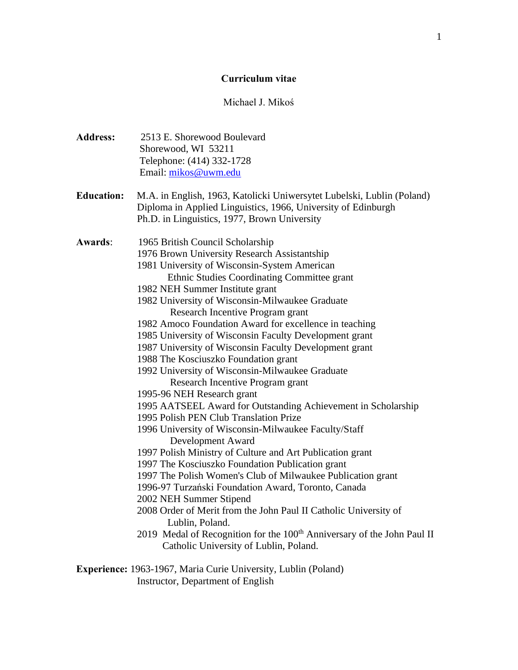### **Curriculum vitae**

## Michael J. Mikoś

- **Address:** 2513 E. Shorewood Boulevard Shorewood, WI 53211 Telephone: (414) 332-1728 Email: [mikos@uwm.edu](mailto:mikos@uwm.edu)
- **Education:** M.A. in English, 1963, Katolicki Uniwersytet Lubelski, Lublin (Poland) Diploma in Applied Linguistics, 1966, University of Edinburgh Ph.D. in Linguistics, 1977, Brown University
- **Awards**: 1965 British Council Scholarship 1976 Brown University Research Assistantship 1981 University of Wisconsin-System American Ethnic Studies Coordinating Committee grant 1982 NEH Summer Institute grant 1982 University of Wisconsin-Milwaukee Graduate Research Incentive Program grant 1982 Amoco Foundation Award for excellence in teaching 1985 University of Wisconsin Faculty Development grant 1987 University of Wisconsin Faculty Development grant 1988 The Kosciuszko Foundation grant 1992 University of Wisconsin-Milwaukee Graduate Research Incentive Program grant 1995-96 NEH Research grant 1995 AATSEEL Award for Outstanding Achievement in Scholarship 1995 Polish PEN Club Translation Prize 1996 University of Wisconsin-Milwaukee Faculty/Staff Development Award 1997 Polish Ministry of Culture and Art Publication grant
	- 1997 The Kosciuszko Foundation Publication grant
	- 1997 The Polish Women's Club of Milwaukee Publication grant
	- 1996-97 Turzański Foundation Award, Toronto, Canada
	- 2002 NEH Summer Stipend
	- 2008 Order of Merit from the John Paul II Catholic University of Lublin, Poland.
	- 2019 Medal of Recognition for the 100<sup>th</sup> Anniversary of the John Paul II Catholic University of Lublin, Poland.
- **Experience:** 1963-1967, Maria Curie University, Lublin (Poland) Instructor, Department of English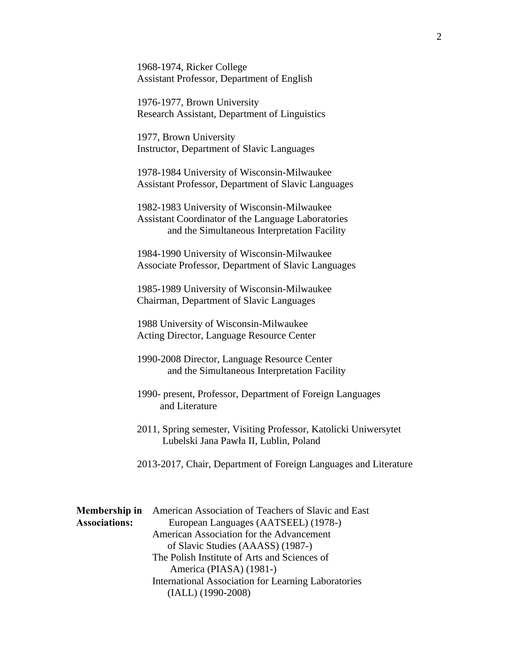1968-1974, Ricker College Assistant Professor, Department of English

 1976-1977, Brown University Research Assistant, Department of Linguistics

 1977, Brown University Instructor, Department of Slavic Languages

 1978-1984 University of Wisconsin-Milwaukee Assistant Professor, Department of Slavic Languages

 1982-1983 University of Wisconsin-Milwaukee Assistant Coordinator of the Language Laboratories and the Simultaneous Interpretation Facility

 1984-1990 University of Wisconsin-Milwaukee Associate Professor, Department of Slavic Languages

 1985-1989 University of Wisconsin-Milwaukee Chairman, Department of Slavic Languages

 1988 University of Wisconsin-Milwaukee Acting Director, Language Resource Center

 1990-2008 Director, Language Resource Center and the Simultaneous Interpretation Facility

 1990- present, Professor, Department of Foreign Languages and Literature

 2011, Spring semester, Visiting Professor, Katolicki Uniwersytet Lubelski Jana Pawła II, Lublin, Poland

2013-2017, Chair, Department of Foreign Languages and Literature

**Membership in** American Association of Teachers of Slavic and East **Associations:** European Languages (AATSEEL) (1978-) American Association for the Advancement of Slavic Studies (AAASS) (1987-) The Polish Institute of Arts and Sciences of America (PIASA) (1981-) International Association for Learning Laboratories (IALL) (1990-2008)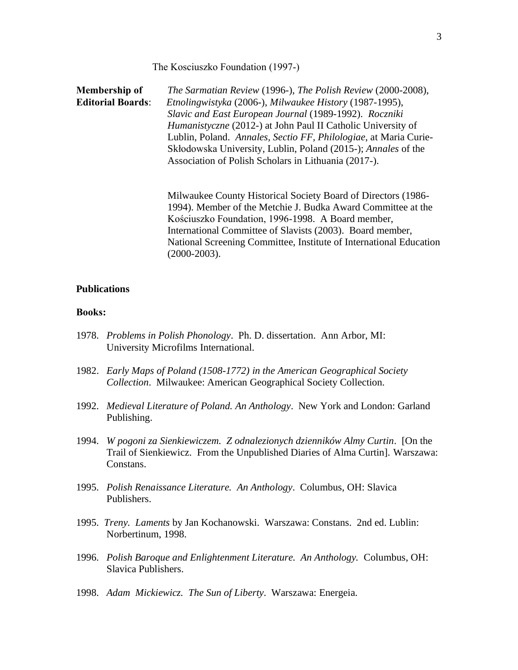The Kosciuszko Foundation (1997-)

**Membership of** *The Sarmatian Review* (1996-), *The Polish Review* (2000-2008), **Editorial Boards**: *Etnolingwistyka* (2006-), *Milwaukee History* (1987-1995), *Slavic and East European Journal* (1989-1992). *Roczniki Humanistyczne* (2012-) at John Paul II Catholic University of Lublin, Poland. *Annales, Sectio FF, Philologiae*, at Maria Curie-Skłodowska University, Lublin, Poland (2015-); *Annales* of the Association of Polish Scholars in Lithuania (2017-).

> Milwaukee County Historical Society Board of Directors (1986- 1994). Member of the Metchie J. Budka Award Committee at the Kościuszko Foundation, 1996-1998. A Board member, International Committee of Slavists (2003). Board member, National Screening Committee, Institute of International Education (2000-2003).

## **Publications**

#### **Books:**

- 1978. *Problems in Polish Phonology*. Ph. D. dissertation. Ann Arbor, MI: University Microfilms International.
- 1982. *Early Maps of Poland (1508-1772) in the American Geographical Society Collection*. Milwaukee: American Geographical Society Collection.
- 1992. *Medieval Literature of Poland. An Anthology*. New York and London: Garland Publishing.
- 1994. *W pogoni za Sienkiewiczem. Z odnalezionych dzienników Almy Curtin*. [On the Trail of Sienkiewicz. From the Unpublished Diaries of Alma Curtin]. Warszawa: Constans.
- 1995. *Polish Renaissance Literature. An Anthology*. Columbus, OH: Slavica Publishers.
- 1995. *Treny. Laments* by Jan Kochanowski. Warszawa: Constans. 2nd ed. Lublin: Norbertinum, 1998.
- 1996. *Polish Baroque and Enlightenment Literature. An Anthology.* Columbus, OH: Slavica Publishers.
- 1998. *Adam Mickiewicz. The Sun of Liberty*. Warszawa: Energeia.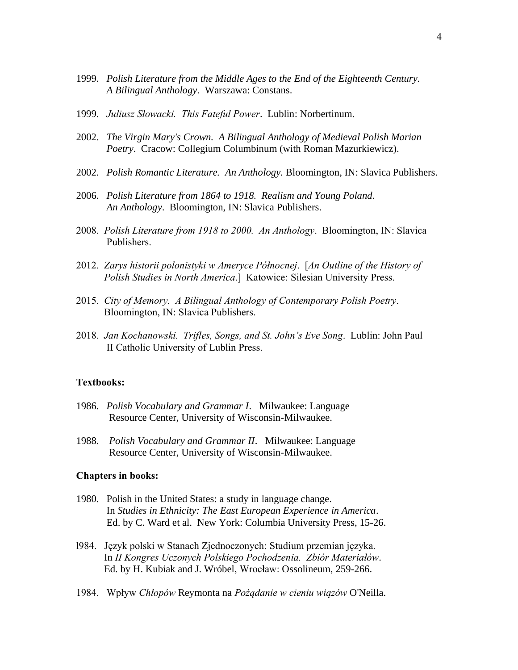- 1999. *Polish Literature from the Middle Ages to the End of the Eighteenth Century. A Bilingual Anthology*. Warszawa: Constans.
- 1999. *Juliusz Słowacki. This Fateful Power*. Lublin: Norbertinum.
- 2002. *The Virgin Mary's Crown. A Bilingual Anthology of Medieval Polish Marian Poetry*. Cracow: Collegium Columbinum (with Roman Mazurkiewicz).
- 2002. *Polish Romantic Literature. An Anthology.* Bloomington, IN: Slavica Publishers.
- 2006. *Polish Literature from 1864 to 1918. Realism and Young Poland. An Anthology*. Bloomington, IN: Slavica Publishers.
- 2008. *Polish Literature from 1918 to 2000. An Anthology*. Bloomington, IN: Slavica Publishers.
- 2012. *Zarys historii polonistyki w Ameryce Północnej*. [*An Outline of the History of Polish Studies in North America*.] Katowice: Silesian University Press.
- 2015. *City of Memory. A Bilingual Anthology of Contemporary Polish Poetry*. Bloomington, IN: Slavica Publishers.
- 2018. *Jan Kochanowski. Trifles, Songs, and St. John's Eve Song*. Lublin: John Paul II Catholic University of Lublin Press.

### **Textbooks:**

- 1986. *Polish Vocabulary and Grammar I*. Milwaukee: Language Resource Center, University of Wisconsin-Milwaukee.
- 1988. *Polish Vocabulary and Grammar II*. Milwaukee: Language Resource Center, University of Wisconsin-Milwaukee.

#### **Chapters in books:**

- 1980. Polish in the United States: a study in language change. In *Studies in Ethnicity: The East European Experience in America*. Ed. by C. Ward et al. New York: Columbia University Press, 15-26.
- l984. Język polski w Stanach Zjednoczonych: Studium przemian języka. In *II Kongres Uczonych Polskiego Pochodzenia. Zbiór Materiałów*. Ed. by H. Kubiak and J. Wróbel, Wrocław: Ossolineum, 259-266.
- 1984. Wpływ *Chłopów* Reymonta na *Pożądanie w cieniu wiązów* O'Neilla.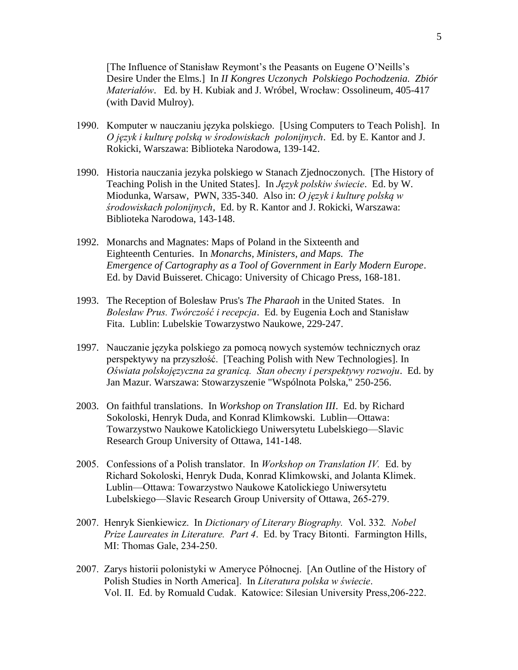[The Influence of Stanisław Reymont's the Peasants on Eugene O'Neills's Desire Under the Elms.] In *II Kongres Uczonych Polskiego Pochodzenia. Zbiór Materiałów*. Ed. by H. Kubiak and J. Wróbel, Wrocław: Ossolineum, 405-417 (with David Mulroy).

- 1990. Komputer w nauczaniu języka polskiego. [Using Computers to Teach Polish]. In *O język i kulturę polską w środowiskach polonijnych*. Ed. by E. Kantor and J. Rokicki, Warszawa: Biblioteka Narodowa, 139-142.
- 1990. Historia nauczania jezyka polskiego w Stanach Zjednoczonych. [The History of Teaching Polish in the United States]. In *Język polskiw świecie*. Ed. by W. Miodunka, Warsaw, PWN, 335-340. Also in: *O język i kulturę polską w środowiskach polonijnych*, Ed. by R. Kantor and J. Rokicki, Warszawa: Biblioteka Narodowa, 143-148.
- 1992. Monarchs and Magnates: Maps of Poland in the Sixteenth and Eighteenth Centuries. In *Monarchs, Ministers, and Maps. The Emergence of Cartography as a Tool of Government in Early Modern Europe*. Ed. by David Buisseret. Chicago: University of Chicago Press, 168-181.
- 1993. The Reception of Bolesław Prus's *The Pharaoh* in the United States. In *Bolesław Prus. Twórczość i recepcja*. Ed. by Eugenia Łoch and Stanisław Fita. Lublin: Lubelskie Towarzystwo Naukowe, 229-247.
- 1997. Nauczanie języka polskiego za pomocą nowych systemów technicznych oraz perspektywy na przyszłość. [Teaching Polish with New Technologies]. In *Oświata polskojęzyczna za granicą. Stan obecny i perspektywy rozwoju*. Ed. by Jan Mazur. Warszawa: Stowarzyszenie "Wspólnota Polska," 250-256.
- 2003. On faithful translations. In *Workshop on Translation III*. Ed. by Richard Sokoloski, Henryk Duda, and Konrad Klimkowski. Lublin—Ottawa: Towarzystwo Naukowe Katolickiego Uniwersytetu Lubelskiego—Slavic Research Group University of Ottawa, 141-148.
- 2005. Confessions of a Polish translator. In *Workshop on Translation IV.* Ed. by Richard Sokoloski, Henryk Duda, Konrad Klimkowski, and Jolanta Klimek. Lublin—Ottawa: Towarzystwo Naukowe Katolickiego Uniwersytetu Lubelskiego—Slavic Research Group University of Ottawa, 265-279.
- 2007. Henryk Sienkiewicz. In *Dictionary of Literary Biography.* Vol. 332*. Nobel Prize Laureates in Literature. Part 4*. Ed. by Tracy Bitonti. Farmington Hills, MI: Thomas Gale, 234-250.
- 2007. Zarys historii polonistyki w Ameryce Północnej. [An Outline of the History of Polish Studies in North America]. In *Literatura polska w świecie*. Vol. II. Ed. by Romuald Cudak. Katowice: Silesian University Press,206-222.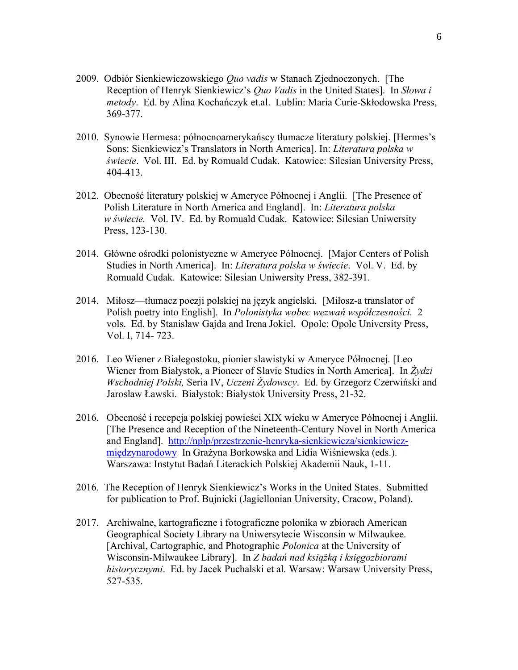- 2009. Odbiór Sienkiewiczowskiego *Quo vadis* w Stanach Zjednoczonych. [The Reception of Henryk Sienkiewicz's *Quo Vadis* in the United States]. In *Słowa i metody*. Ed. by Alina Kochańczyk et.al. Lublin: Maria Curie-Skłodowska Press, 369-377.
- 2010. Synowie Hermesa: północnoamerykańscy tłumacze literatury polskiej. [Hermes's Sons: Sienkiewicz's Translators in North America]. In: *Literatura polska w świecie*. Vol. III. Ed. by Romuald Cudak. Katowice: Silesian University Press, 404-413.
- 2012. Obecność literatury polskiej w Ameryce Północnej i Anglii. [The Presence of Polish Literature in North America and England]. In: *Literatura polska w świecie.* Vol. IV. Ed. by Romuald Cudak. Katowice: Silesian Uniwersity Press, 123-130.
- 2014. Główne ośrodki polonistyczne w Ameryce Północnej. [Major Centers of Polish Studies in North America]. In: *Literatura polska w świecie*. Vol. V. Ed. by Romuald Cudak. Katowice: Silesian Uniwersity Press, 382-391.
- 2014. Miłosz—tłumacz poezji polskiej na język angielski. [Miłosz-a translator of Polish poetry into English]. In *Polonistyka wobec wezwań współczesności.* 2 vols. Ed. by Stanisław Gajda and Irena Jokiel. Opole: Opole University Press, Vol. I, 714- 723.
- 2016. Leo Wiener z Białegostoku, pionier slawistyki w Ameryce Północnej. [Leo Wiener from Białystok, a Pioneer of Slavic Studies in North America]. In *Żydzi Wschodniej Polski,* Seria IV, *Uczeni Żydowscy*. Ed. by Grzegorz Czerwiński and Jarosław Ławski. Białystok: Białystok University Press, 21-32.
- 2016. Obecność i recepcja polskiej powieści XIX wieku w Ameryce Północnej i Anglii. [The Presence and Reception of the Nineteenth-Century Novel in North America and England]. [http://nplp/przestrzenie-henryka-sienkiewicza/sienkiewicz](http://nplp/przestrzenie-henryka-sienkiewicza/sienkiewicz-międzynarodowy)[międzynarodowy](http://nplp/przestrzenie-henryka-sienkiewicza/sienkiewicz-międzynarodowy) In Grażyna Borkowska and Lidia Wiśniewska (eds.). Warszawa: Instytut Badań Literackich Polskiej Akademii Nauk, 1-11.
- 2016. The Reception of Henryk Sienkiewicz's Works in the United States. Submitted for publication to Prof. Bujnicki (Jagiellonian University, Cracow, Poland).
- 2017. Archiwalne, kartograficzne i fotograficzne polonika w zbiorach American Geographical Society Library na Uniwersytecie Wisconsin w Milwaukee. [Archival, Cartographic, and Photographic *Polonica* at the University of Wisconsin-Milwaukee Library]. In *Z badań nad książką i księgozbiorami historycznymi*. Ed. by Jacek Puchalski et al. Warsaw: Warsaw University Press, 527-535.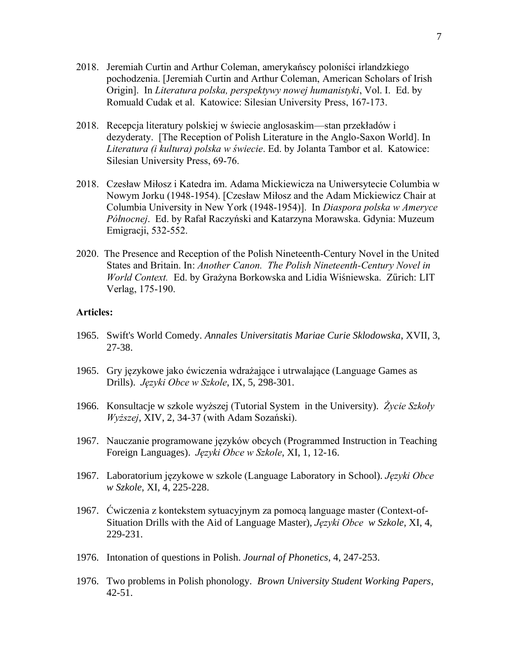- 2018. Jeremiah Curtin and Arthur Coleman, amerykańscy poloniści irlandzkiego pochodzenia. [Jeremiah Curtin and Arthur Coleman, American Scholars of Irish Origin]. In *Literatura polska, perspektywy nowej humanistyki*, Vol. I. Ed. by Romuald Cudak et al. Katowice: Silesian University Press, 167-173.
- 2018. Recepcja literatury polskiej w świecie anglosaskim—stan przekładów i dezyderaty. [The Reception of Polish Literature in the Anglo-Saxon World]. In *Literatura (i kultura) polska w świecie*. Ed. by Jolanta Tambor et al. Katowice: Silesian University Press, 69-76.
- 2018. Czesław Miłosz i Katedra im. Adama Mickiewicza na Uniwersytecie Columbia w Nowym Jorku (1948-1954). [Czesław Miłosz and the Adam Mickiewicz Chair at Columbia University in New York (1948-1954)]. In *Diaspora polska w Ameryce Północnej*. Ed. by Rafał Raczyński and Katarzyna Morawska. Gdynia: Muzeum Emigracji, 532-552.
- 2020. The Presence and Reception of the Polish Nineteenth-Century Novel in the United States and Britain. In: *Another Canon. The Polish Nineteenth-Century Novel in World Context.* Ed. by Grażyna Borkowska and Lidia Wiśniewska. Zűrich: LIT Verlag, 175-190.

## **Articles:**

- 1965. Swift's World Comedy. *Annales Universitatis Mariae Curie Sklodowska*, XVII, 3, 27-38.
- 1965. Gry językowe jako ćwiczenia wdrażające i utrwalające (Language Games as Drills). *Języki Obce w Szkole*, IX, 5, 298-301.
- 1966. Konsultacje w szkole wyższej (Tutorial System in the University). *Życie Szkoły Wyższej*, XIV, 2, 34-37 (with Adam Sozański).
- 1967. Nauczanie programowane języków obcych (Programmed Instruction in Teaching Foreign Languages). *Języki Obce w Szkole*, XI, 1, 12-16.
- 1967. Laboratorium językowe w szkole (Language Laboratory in School). *Języki Obce w Szkole*, XI, 4, 225-228.
- 1967. Ćwiczenia z kontekstem sytuacyjnym za pomocą language master (Context-of-Situation Drills with the Aid of Language Master), *Języki Obce w Szkole*, XI, 4, 229-231.
- 1976. Intonation of questions in Polish. *Journal of Phonetics*, 4, 247-253.
- 1976. Two problems in Polish phonology. *Brown University Student Working Papers*, 42-51.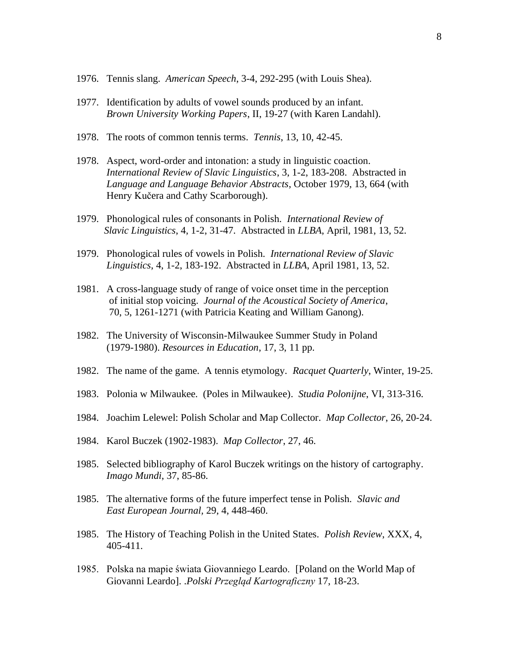- 1976. Tennis slang. *American Speech*, 3-4, 292-295 (with Louis Shea).
- 1977. Identification by adults of vowel sounds produced by an infant. *Brown University Working Papers*, II, 19-27 (with Karen Landahl).
- 1978. The roots of common tennis terms. *Tennis*, 13, 10, 42-45.
- 1978. Aspect, word-order and intonation: a study in linguistic coaction. *International Review of Slavic Linguistics*, 3, 1-2, 183-208. Abstracted in *Language and Language Behavior Abstracts*, October 1979, 13, 664 (with Henry Kučera and Cathy Scarborough).
- 1979. Phonological rules of consonants in Polish. *International Review of Slavic Linguistics*, 4, 1-2, 31-47. Abstracted in *LLBA*, April, 1981, 13, 52.
- 1979. Phonological rules of vowels in Polish. *International Review of Slavic Linguistics*, 4, 1-2, 183-192. Abstracted in *LLBA*, April 1981, 13, 52.
- 1981. A cross-language study of range of voice onset time in the perception of initial stop voicing. *Journal of the Acoustical Society of America*, 70, 5, 1261-1271 (with Patricia Keating and William Ganong).
- 1982. The University of Wisconsin-Milwaukee Summer Study in Poland (1979-1980). *Resources in Education*, 17, 3, 11 pp.
- 1982. The name of the game. A tennis etymology. *Racquet Quarterly*, Winter, 19-25.
- 1983. Polonia w Milwaukee. (Poles in Milwaukee). *Studia Polonijne*, VI, 313-316.
- 1984. Joachim Lelewel: Polish Scholar and Map Collector. *Map Collector*, 26, 20-24.
- 1984. Karol Buczek (1902-1983). *Map Collector*, 27, 46.
- 1985. Selected bibliography of Karol Buczek writings on the history of cartography. *Imago Mundi*, 37, 85-86.
- 1985. The alternative forms of the future imperfect tense in Polish. *Slavic and East European Journal,* 29, 4, 448-460.
- 1985. The History of Teaching Polish in the United States. *Polish Review*, XXX, 4, 405-411.
- 1985. Polska na mapie świata Giovanniego Leardo. [Poland on the World Map of Giovanni Leardo]. .*Polski Przegląd Kartograficzny* 17, 18-23.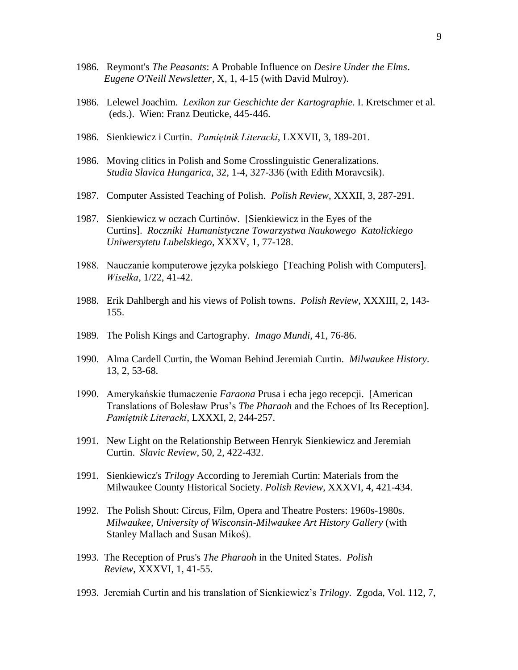- 1986. Reymont's *The Peasants*: A Probable Influence on *Desire Under the Elms*.  *Eugene O'Neill Newsletter*, X, 1, 4-15 (with David Mulroy).
- 1986. Lelewel Joachim. *Lexikon zur Geschichte der Kartographie*. I. Kretschmer et al. (eds.). Wien: Franz Deuticke, 445-446.
- 1986. Sienkiewicz i Curtin. *Pamiętnik Literacki*, LXXVII, 3, 189-201.
- 1986. Moving clitics in Polish and Some Crosslinguistic Generalizations. *Studia Slavica Hungarica*, 32, 1-4, 327-336 (with Edith Moravcsik).
- 1987. Computer Assisted Teaching of Polish. *Polish Review*, XXXII, 3, 287-291.
- 1987. Sienkiewicz w oczach Curtinów. [Sienkiewicz in the Eyes of the Curtins]. *Roczniki Humanistyczne Towarzystwa Naukowego Katolickiego Uniwersytetu Lubelskiego*, XXXV, 1, 77-128.
- 1988. Nauczanie komputerowe języka polskiego [Teaching Polish with Computers]. *Wisełka*, 1/22, 41-42.
- 1988. Erik Dahlbergh and his views of Polish towns. *Polish Review*, XXXIII, 2, 143- 155.
- 1989. The Polish Kings and Cartography. *Imago Mundi*, 41, 76-86.
- 1990. Alma Cardell Curtin, the Woman Behind Jeremiah Curtin. *Milwaukee History*. 13, 2, 53-68.
- 1990. Amerykańskie tłumaczenie *Faraona* Prusa i echa jego recepcji. [American Translations of Bolesław Prus's *The Pharaoh* and the Echoes of Its Reception]. *Pamiętnik Literacki*, LXXXI, 2, 244-257.
- 1991. New Light on the Relationship Between Henryk Sienkiewicz and Jeremiah Curtin. *Slavic Review*, 50, 2, 422-432.
- 1991. Sienkiewicz's *Trilogy* According to Jeremiah Curtin: Materials from the Milwaukee County Historical Society. *Polish Review*, XXXVI, 4, 421-434.
- 1992. The Polish Shout: Circus, Film, Opera and Theatre Posters: 1960s-1980s. *Milwaukee, University of Wisconsin-Milwaukee Art History Gallery* (with Stanley Mallach and Susan Mikoś).
- 1993. The Reception of Prus's *The Pharaoh* in the United States. *Polish Review*, XXXVI, 1, 41-55.
- 1993. Jeremiah Curtin and his translation of Sienkiewicz's *Trilogy*. Zgoda, Vol. 112, 7,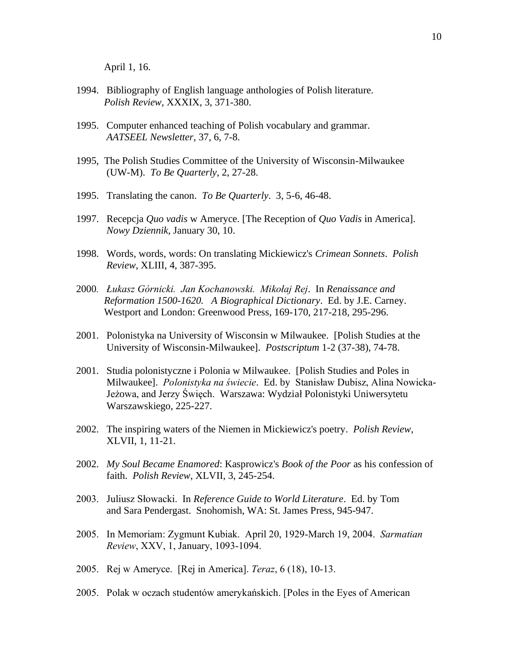April 1, 16.

- 1994. Bibliography of English language anthologies of Polish literature.  *Polish Review,* XXXIX, 3, 371-380.
- 1995. Computer enhanced teaching of Polish vocabulary and grammar. *AATSEEL Newsletter*, 37, 6, 7-8.
- 1995, The Polish Studies Committee of the University of Wisconsin-Milwaukee (UW-M). *To Be Quarterly*, 2, 27-28.
- 1995. Translating the canon. *To Be Quarterly*. 3, 5-6, 46-48.
- 1997. Recepcja *Quo vadis* w Ameryce. [The Reception of *Quo Vadis* in America]. *Nowy Dziennik*, January 30, 10.
- 1998. Words, words, words: On translating Mickiewicz's *Crimean Sonnets*. *Polish Review*, XLIII, 4, 387-395.
- 2000*. Łukasz Górnicki. Jan Kochanowski. Mikołaj Rej*. In *Renaissance and Reformation 1500-1620. A Biographical Dictionary*. Ed. by J.E. Carney. Westport and London: Greenwood Press, 169-170, 217-218, 295-296.
- 2001. Polonistyka na University of Wisconsin w Milwaukee. [Polish Studies at the University of Wisconsin-Milwaukee]. *Postscriptum* 1-2 (37-38), 74-78.
- 2001. Studia polonistyczne i Polonia w Milwaukee. [Polish Studies and Poles in Milwaukee]. *Polonistyka na świecie*. Ed. by Stanisław Dubisz, Alina Nowicka-Jeżowa, and Jerzy Święch. Warszawa: Wydział Polonistyki Uniwersytetu Warszawskiego, 225-227.
- 2002. The inspiring waters of the Niemen in Mickiewicz's poetry. *Polish Review*, XLVII, 1, 11-21.
- 2002. *My Soul Became Enamored*: Kasprowicz's *Book of the Poor* as his confession of faith. *Polish Review*, XLVII, 3, 245-254.
- 2003. Juliusz Słowacki. In *Reference Guide to World Literature*. Ed. by Tom and Sara Pendergast. Snohomish, WA: St. James Press, 945-947.
- 2005. In Memoriam: Zygmunt Kubiak. April 20, 1929-March 19, 2004. *Sarmatian Review*, XXV, 1, January, 1093-1094.
- 2005. Rej w Ameryce. [Rej in America]. *Teraz*, 6 (18), 10-13.
- 2005. Polak w oczach studentów amerykańskich. [Poles in the Eyes of American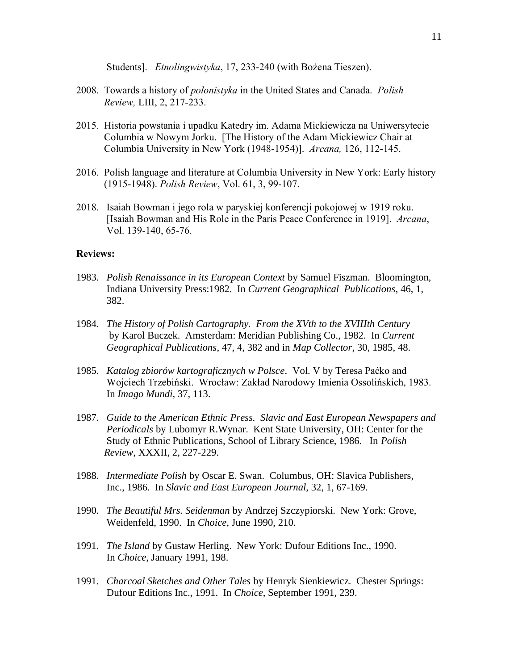Students]. *Etnolingwistyka*, 17, 233-240 (with Bożena Tieszen).

- 2008. Towards a history of *polonistyka* in the United States and Canada. *Polish Review,* LIII, 2, 217-233.
- 2015. Historia powstania i upadku Katedry im. Adama Mickiewicza na Uniwersytecie Columbia w Nowym Jorku. [The History of the Adam Mickiewicz Chair at Columbia University in New York (1948-1954)]. *Arcana,* 126, 112-145.
- 2016. Polish language and literature at Columbia University in New York: Early history (1915-1948). *Polish Review*, Vol. 61, 3, 99-107.
- 2018. Isaiah Bowman i jego rola w paryskiej konferencji pokojowej w 1919 roku. [Isaiah Bowman and His Role in the Paris Peace Conference in 1919]. *Arcana*, Vol. 139-140, 65-76.

### **Reviews:**

- 1983. *Polish Renaissance in its European Context* by Samuel Fiszman. Bloomington, Indiana University Press:1982. In *Current Geographical Publications*, 46, 1, 382.
- 1984. *The History of Polish Cartography. From the XVth to the XVIIIth Century* by Karol Buczek. Amsterdam: Meridian Publishing Co., 1982. In *Current Geographical Publications*, 47, 4, 382 and in *Map Collector*, 30, 1985, 48.
- 1985. *Katalog zbiorów kartograficznych w Polsce*. Vol. V by Teresa Paćko and Wojciech Trzebiński. Wrocław: Zakład Narodowy Imienia Ossolińskich, 1983. In *Imago Mundi*, 37, 113.
- 1987. *Guide to the American Ethnic Press. Slavic and East European Newspapers and Periodicals* by Lubomyr R.Wynar. Kent State University, OH: Center for the Study of Ethnic Publications, School of Library Science, 1986. In *Polish Review*, XXXII, 2, 227-229.
- 1988. *Intermediate Polish* by Oscar E. Swan. Columbus, OH: Slavica Publishers, Inc., 1986. In *Slavic and East European Journal*, 32, 1, 67-169.
- 1990. *The Beautiful Mrs. Seidenman* by Andrzej Szczypiorski. New York: Grove, Weidenfeld, 1990. In *Choice*, June 1990, 210.
- 1991. *The Island* by Gustaw Herling. New York: Dufour Editions Inc., 1990. In *Choice*, January 1991, 198.
- 1991. *Charcoal Sketches and Other Tales* by Henryk Sienkiewicz. Chester Springs: Dufour Editions Inc., 1991. In *Choice*, September 1991, 239.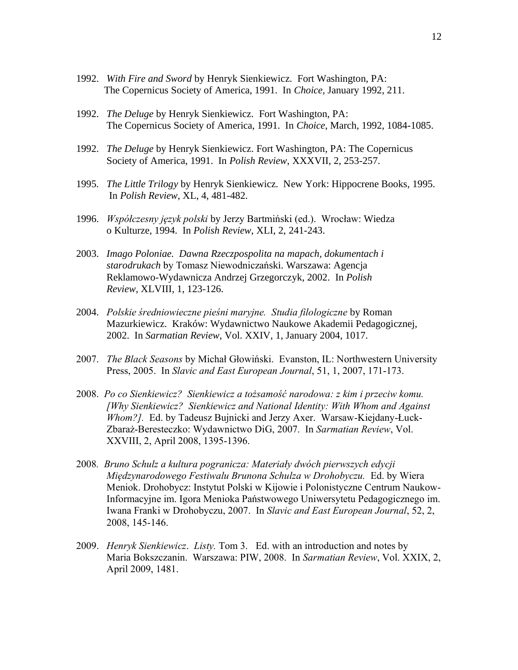- 1992. *With Fire and Sword* by Henryk Sienkiewicz. Fort Washington, PA: The Copernicus Society of America, 1991. In *Choice,* January 1992, 211.
- 1992. *The Deluge* by Henryk Sienkiewicz. Fort Washington, PA: The Copernicus Society of America, 1991. In *Choice*, March, 1992, 1084-1085.
- 1992. *The Deluge* by Henryk Sienkiewicz. Fort Washington, PA: The Copernicus Society of America, 1991. In *Polish Review*, XXXVII, 2, 253-257.
- 1995*. The Little Trilogy* by Henryk Sienkiewicz. New York: Hippocrene Books, 1995. In *Polish Review*, XL, 4, 481-482.
- 1996. *Współczesny język polski* by Jerzy Bartmiński (ed.). Wrocław: Wiedza o Kulturze, 1994. In *Polish Review*, XLI, 2, 241-243.
- 2003. *Imago Poloniae. Dawna Rzeczpospolita na mapach, dokumentach i starodrukach* by Tomasz Niewodniczański. Warszawa: Agencja Reklamowo-Wydawnicza Andrzej Grzegorczyk, 2002. In *Polish Review*, XLVIII, 1, 123-126.
- 2004. *Polskie średniowieczne pieśni maryjne. Studia filologiczne* by Roman Mazurkiewicz. Kraków: Wydawnictwo Naukowe Akademii Pedagogicznej, 2002. In *Sarmatian Review*, Vol. XXIV, 1, January 2004, 1017.
- 2007. *The Black Seasons* by Michał Głowiński. Evanston, IL: Northwestern University Press, 2005. In *Slavic and East European Journal*, 51, 1, 2007, 171-173.
- 2008. *Po co Sienkiewicz? Sienkiewicz a tożsamość narodowa: z kim i przeciw komu. [Why Sienkiewicz? Sienkiewicz and National Identity: With Whom and Against Whom?].* Ed. by Tadeusz Bujnicki and Jerzy Axer. Warsaw-Kiejdany-Łuck-Zbaraż-Beresteczko: Wydawnictwo DiG, 2007. In *Sarmatian Review*, Vol. XXVIII, 2, April 2008, 1395-1396.
- 2008*. Bruno Schulz a kultura pogranicza: Materiały dwóch pierwszych edycji Międzynarodowego Festiwalu Brunona Schulza w Drohobyczu.* Ed. by Wiera Meniok. Drohobycz: Instytut Polski w Kijowie i Polonistyczne Centrum Naukow-Informacyjne im. Igora Menioka Państwowego Uniwersytetu Pedagogicznego im. Iwana Franki w Drohobyczu, 2007. In *Slavic and East European Journal*, 52, 2, 2008, 145-146.
- 2009. *Henryk Sienkiewicz*. *Listy.* Tom 3. Ed. with an introduction and notes by Maria Bokszczanin. Warszawa: PIW, 2008. In *Sarmatian Review*, Vol. XXIX, 2, April 2009, 1481.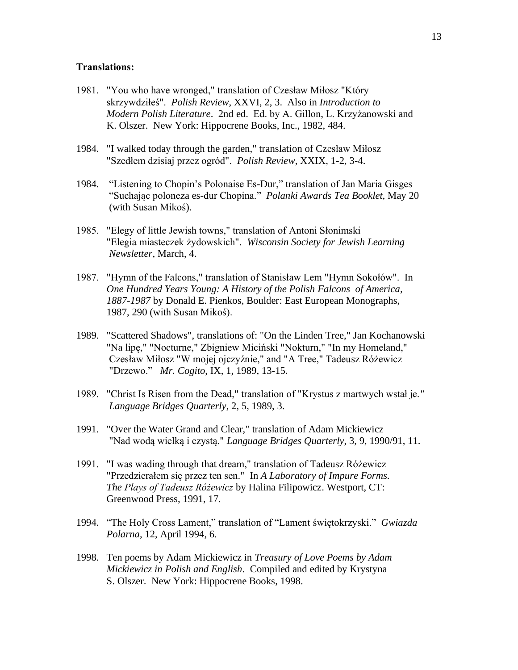## **Translations:**

- 1981. "You who have wronged," translation of Czesław Miłosz "Który skrzywdziłeś". *Polish Review*, XXVI, 2, 3. Also in *Introduction to Modern Polish Literature*. 2nd ed. Ed. by A. Gillon, L. Krzyżanowski and K. Olszer. New York: Hippocrene Books, Inc., 1982, 484.
- 1984. "I walked today through the garden," translation of Czesław Miłosz "Szedłem dzisiaj przez ogród". *Polish Review*, XXIX, 1-2, 3-4.
- 1984. "Listening to Chopin's Polonaise Es-Dur," translation of Jan Maria Gisges "Suchając poloneza es-dur Chopina." *Polanki Awards Tea Booklet,* May 20 (with Susan Mikoś).
- 1985. "Elegy of little Jewish towns," translation of Antoni Słonimski "Elegia miasteczek żydowskich". *Wisconsin Society for Jewish Learning Newsletter*, March, 4.
- 1987. "Hymn of the Falcons," translation of Stanisław Lem "Hymn Sokołów". In *One Hundred Years Young: A History of the Polish Falcons of America, 1887-1987* by Donald E. Pienkos, Boulder: East European Monographs, 1987, 290 (with Susan Mikoś).
- 1989. "Scattered Shadows", translations of: "On the Linden Tree," Jan Kochanowski "Na lipę," "Nocturne," Zbigniew Miciński "Nokturn," "In my Homeland," Czesław Miłosz "W mojej ojczyźnie," and "A Tree," Tadeusz Różewicz "Drzewo." *Mr. Cogito*, IX, 1, 1989, 13-15.
- 1989. "Christ Is Risen from the Dead," translation of "Krystus z martwych wstał je.*" Language Bridges Quarterly*, 2, 5, 1989, 3.
- 1991. "Over the Water Grand and Clear," translation of Adam Mickiewicz "Nad wodą wielką i czystą." *Language Bridges Quarterly*, 3, 9, 1990/91, 11.
- 1991. "I was wading through that dream," translation of Tadeusz Różewicz "Przedzierałem się przez ten sen." In *A Laboratory of Impure Forms. The Plays of Tadeusz Różewicz* by Halina Filipowicz. Westport, CT: Greenwood Press, 1991, 17.
- 1994. "The Holy Cross Lament," translation of "Lament świętokrzyski." *Gwiazda Polarna*, 12, April 1994, 6.
- 1998. Ten poems by Adam Mickiewicz in *Treasury of Love Poems by Adam Mickiewicz in Polish and English*. Compiled and edited by Krystyna S. Olszer. New York: Hippocrene Books, 1998.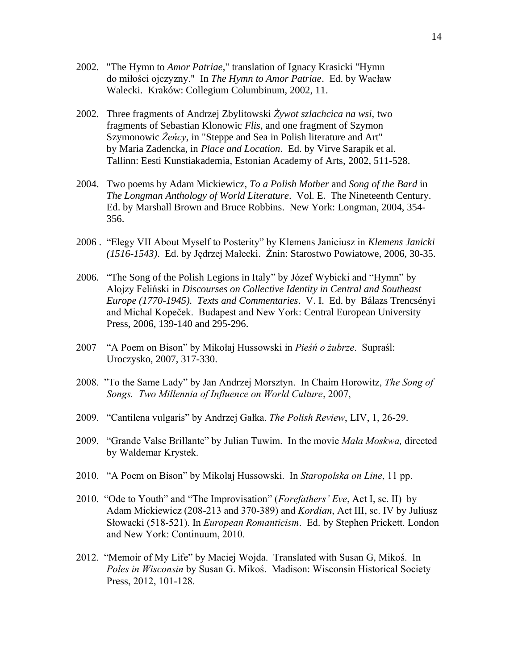- 2002. "The Hymn to *Amor Patriae*," translation of Ignacy Krasicki "Hymn do miłości ojczyzny." In *The Hymn to Amor Patriae*. Ed. by Wacław Walecki. Kraków: Collegium Columbinum, 2002, 11.
- 2002. Three fragments of Andrzej Zbylitowski *Żywot szlachcica na wsi,* two fragments of Sebastian Klonowic *Flis*, and one fragment of Szymon Szymonowic *Żeńcy*, in "Steppe and Sea in Polish literature and Art" by Maria Zadencka, in *Place and Location*. Ed. by Virve Sarapik et al. Tallinn: Eesti Kunstiakademia, Estonian Academy of Arts, 2002, 511-528.
- 2004. Two poems by Adam Mickiewicz, *To a Polish Mother* and *Song of the Bard* in *The Longman Anthology of World Literature*. Vol. E. The Nineteenth Century. Ed. by Marshall Brown and Bruce Robbins. New York: Longman, 2004, 354- 356.
- 2006 . "Elegy VII About Myself to Posterity" by Klemens Janiciusz in *Klemens Janicki (1516-1543)*. Ed. by Jędrzej Małecki. Żnin: Starostwo Powiatowe, 2006, 30-35.
- 2006. "The Song of the Polish Legions in Italy" by Józef Wybicki and "Hymn" by Alojzy Feliński in *Discourses on Collective Identity in Central and Southeast Europe (1770-1945). Texts and Commentaries*. V. I. Ed. by Bálazs Trencsényi and Michal Kopeček. Budapest and New York: Central European University Press, 2006, 139-140 and 295-296.
- 2007 "A Poem on Bison" by Mikołaj Hussowski in *Pieśń o żubrze*. Supraśl: Uroczysko, 2007, 317-330.
- 2008. "To the Same Lady" by Jan Andrzej Morsztyn. In Chaim Horowitz, *The Song of Songs. Two Millennia of Influence on World Culture*, 2007,
- 2009. "Cantilena vulgaris" by Andrzej Gałka. *The Polish Review*, LIV, 1, 26-29.
- 2009. "Grande Valse Brillante" by Julian Tuwim. In the movie *Mała Moskwa,* directed by Waldemar Krystek.
- 2010. "A Poem on Bison" by Mikołaj Hussowski. In *Staropolska on Line*, 11 pp.
- 2010. "Ode to Youth" and "The Improvisation" (*Forefathers' Eve*, Act I, sc. II) by Adam Mickiewicz (208-213 and 370-389) and *Kordian*, Act III, sc. IV by Juliusz Słowacki (518-521). In *European Romanticism*. Ed. by Stephen Prickett. London and New York: Continuum, 2010.
- 2012. "Memoir of My Life" by Maciej Wojda. Translated with Susan G, Mikoś. In *Poles in Wisconsin* by Susan G. Mikoś. Madison: Wisconsin Historical Society Press, 2012, 101-128.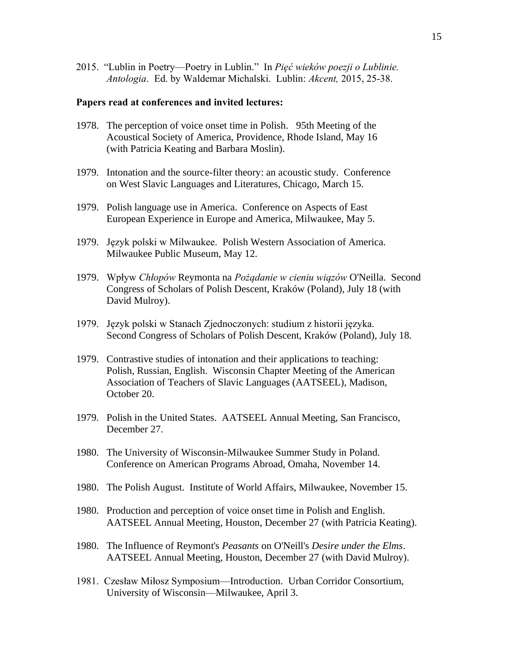2015. "Lublin in Poetry—Poetry in Lublin." In *Pięć wieków poezji o Lublinie. Antologia*. Ed. by Waldemar Michalski. Lublin: *Akcent,* 2015, 25-38.

### **Papers read at conferences and invited lectures:**

- 1978. The perception of voice onset time in Polish. 95th Meeting of the Acoustical Society of America, Providence, Rhode Island, May 16 (with Patricia Keating and Barbara Moslin).
- 1979. Intonation and the source-filter theory: an acoustic study. Conference on West Slavic Languages and Literatures, Chicago, March 15.
- 1979. Polish language use in America. Conference on Aspects of East European Experience in Europe and America, Milwaukee, May 5.
- 1979. Język polski w Milwaukee. Polish Western Association of America. Milwaukee Public Museum, May 12.
- 1979. Wpływ *Chłopów* Reymonta na *Pożądanie w cieniu wiązów* O'Neilla. Second Congress of Scholars of Polish Descent, Kraków (Poland), July 18 (with David Mulroy).
- 1979. Język polski w Stanach Zjednoczonych: studium z historii języka. Second Congress of Scholars of Polish Descent, Kraków (Poland), July 18.
- 1979. Contrastive studies of intonation and their applications to teaching: Polish, Russian, English. Wisconsin Chapter Meeting of the American Association of Teachers of Slavic Languages (AATSEEL), Madison, October 20.
- 1979. Polish in the United States. AATSEEL Annual Meeting, San Francisco, December 27.
- 1980. The University of Wisconsin-Milwaukee Summer Study in Poland. Conference on American Programs Abroad, Omaha, November 14.
- 1980. The Polish August. Institute of World Affairs, Milwaukee, November 15.
- 1980. Production and perception of voice onset time in Polish and English. AATSEEL Annual Meeting, Houston, December 27 (with Patricia Keating).
- 1980. The Influence of Reymont's *Peasants* on O'Neill's *Desire under the Elms*. AATSEEL Annual Meeting, Houston, December 27 (with David Mulroy).
- 1981. Czesław Miłosz Symposium—Introduction. Urban Corridor Consortium, University of Wisconsin—Milwaukee, April 3.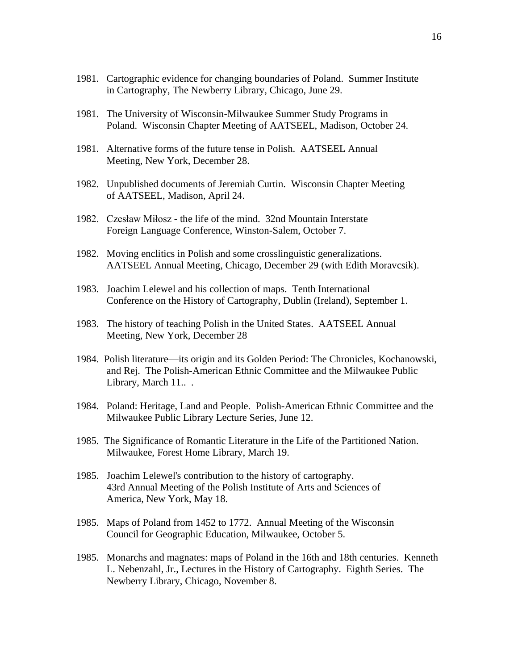- 1981. Cartographic evidence for changing boundaries of Poland. Summer Institute in Cartography, The Newberry Library, Chicago, June 29.
- 1981. The University of Wisconsin-Milwaukee Summer Study Programs in Poland. Wisconsin Chapter Meeting of AATSEEL, Madison, October 24.
- 1981. Alternative forms of the future tense in Polish. AATSEEL Annual Meeting, New York, December 28.
- 1982. Unpublished documents of Jeremiah Curtin. Wisconsin Chapter Meeting of AATSEEL, Madison, April 24.
- 1982. Czesław Miłosz the life of the mind. 32nd Mountain Interstate Foreign Language Conference, Winston-Salem, October 7.
- 1982. Moving enclitics in Polish and some crosslinguistic generalizations. AATSEEL Annual Meeting, Chicago, December 29 (with Edith Moravcsik).
- 1983. Joachim Lelewel and his collection of maps. Tenth International Conference on the History of Cartography, Dublin (Ireland), September 1.
- 1983. The history of teaching Polish in the United States. AATSEEL Annual Meeting, New York, December 28
- 1984. Polish literature—its origin and its Golden Period: The Chronicles, Kochanowski, and Rej. The Polish-American Ethnic Committee and the Milwaukee Public Library, March 11...
- 1984. Poland: Heritage, Land and People. Polish-American Ethnic Committee and the Milwaukee Public Library Lecture Series, June 12.
- 1985. The Significance of Romantic Literature in the Life of the Partitioned Nation. Milwaukee, Forest Home Library, March 19.
- 1985. Joachim Lelewel's contribution to the history of cartography. 43rd Annual Meeting of the Polish Institute of Arts and Sciences of America, New York, May 18.
- 1985. Maps of Poland from 1452 to 1772. Annual Meeting of the Wisconsin Council for Geographic Education, Milwaukee, October 5.
- 1985. Monarchs and magnates: maps of Poland in the 16th and 18th centuries. Kenneth L. Nebenzahl, Jr., Lectures in the History of Cartography. Eighth Series. The Newberry Library, Chicago, November 8.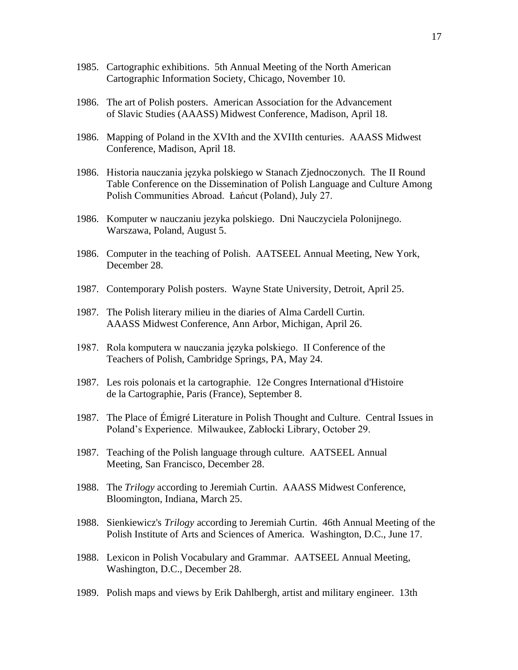- 1985. Cartographic exhibitions. 5th Annual Meeting of the North American Cartographic Information Society, Chicago, November 10.
- 1986. The art of Polish posters. American Association for the Advancement of Slavic Studies (AAASS) Midwest Conference, Madison, April 18.
- 1986. Mapping of Poland in the XVIth and the XVIIth centuries. AAASS Midwest Conference, Madison, April 18.
- 1986. Historia nauczania języka polskiego w Stanach Zjednoczonych. The II Round Table Conference on the Dissemination of Polish Language and Culture Among Polish Communities Abroad. Łańcut (Poland), July 27.
- 1986. Komputer w nauczaniu jezyka polskiego. Dni Nauczyciela Polonijnego. Warszawa, Poland, August 5.
- 1986. Computer in the teaching of Polish. AATSEEL Annual Meeting, New York, December 28.
- 1987. Contemporary Polish posters. Wayne State University, Detroit, April 25.
- 1987. The Polish literary milieu in the diaries of Alma Cardell Curtin. AAASS Midwest Conference, Ann Arbor, Michigan, April 26.
- 1987. Rola komputera w nauczania języka polskiego. II Conference of the Teachers of Polish, Cambridge Springs, PA, May 24.
- 1987. Les rois polonais et la cartographie. 12e Congres International d'Histoire de la Cartographie, Paris (France), September 8.
- 1987. The Place of Émigré Literature in Polish Thought and Culture. Central Issues in Poland's Experience. Milwaukee, Zabłocki Library, October 29.
- 1987. Teaching of the Polish language through culture. AATSEEL Annual Meeting, San Francisco, December 28.
- 1988. The *Trilogy* according to Jeremiah Curtin. AAASS Midwest Conference, Bloomington, Indiana, March 25.
- 1988. Sienkiewicz's *Trilogy* according to Jeremiah Curtin. 46th Annual Meeting of the Polish Institute of Arts and Sciences of America. Washington, D.C., June 17.
- 1988. Lexicon in Polish Vocabulary and Grammar. AATSEEL Annual Meeting, Washington, D.C., December 28.
- 1989. Polish maps and views by Erik Dahlbergh, artist and military engineer. 13th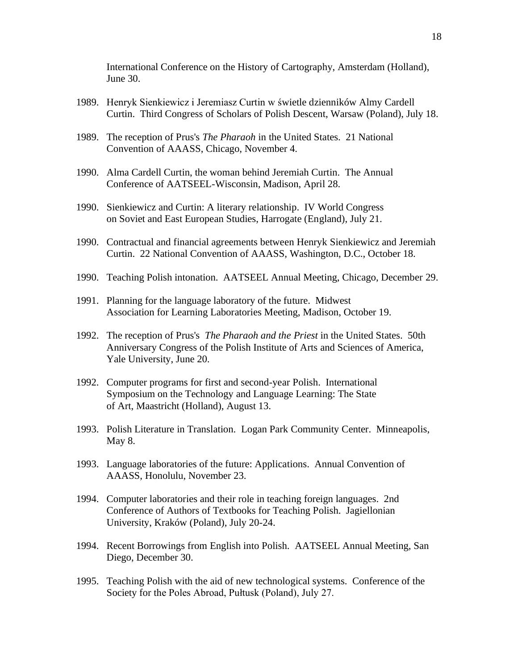International Conference on the History of Cartography, Amsterdam (Holland), June 30.

- 1989. Henryk Sienkiewicz i Jeremiasz Curtin w świetle dzienników Almy Cardell Curtin. Third Congress of Scholars of Polish Descent, Warsaw (Poland), July 18.
- 1989. The reception of Prus's *The Pharaoh* in the United States. 21 National Convention of AAASS, Chicago, November 4.
- 1990. Alma Cardell Curtin, the woman behind Jeremiah Curtin. The Annual Conference of AATSEEL-Wisconsin, Madison, April 28.
- 1990. Sienkiewicz and Curtin: A literary relationship. IV World Congress on Soviet and East European Studies, Harrogate (England), July 21.
- 1990. Contractual and financial agreements between Henryk Sienkiewicz and Jeremiah Curtin. 22 National Convention of AAASS, Washington, D.C., October 18.
- 1990. Teaching Polish intonation. AATSEEL Annual Meeting, Chicago, December 29.
- 1991. Planning for the language laboratory of the future. Midwest Association for Learning Laboratories Meeting, Madison, October 19.
- 1992. The reception of Prus's *The Pharaoh and the Priest* in the United States. 50th Anniversary Congress of the Polish Institute of Arts and Sciences of America, Yale University, June 20.
- 1992. Computer programs for first and second-year Polish. International Symposium on the Technology and Language Learning: The State of Art, Maastricht (Holland), August 13.
- 1993. Polish Literature in Translation. Logan Park Community Center. Minneapolis, May 8.
- 1993. Language laboratories of the future: Applications. Annual Convention of AAASS, Honolulu, November 23.
- 1994. Computer laboratories and their role in teaching foreign languages. 2nd Conference of Authors of Textbooks for Teaching Polish. Jagiellonian University, Kraków (Poland), July 20-24.
- 1994. Recent Borrowings from English into Polish. AATSEEL Annual Meeting, San Diego, December 30.
- 1995. Teaching Polish with the aid of new technological systems. Conference of the Society for the Poles Abroad, Pułtusk (Poland), July 27.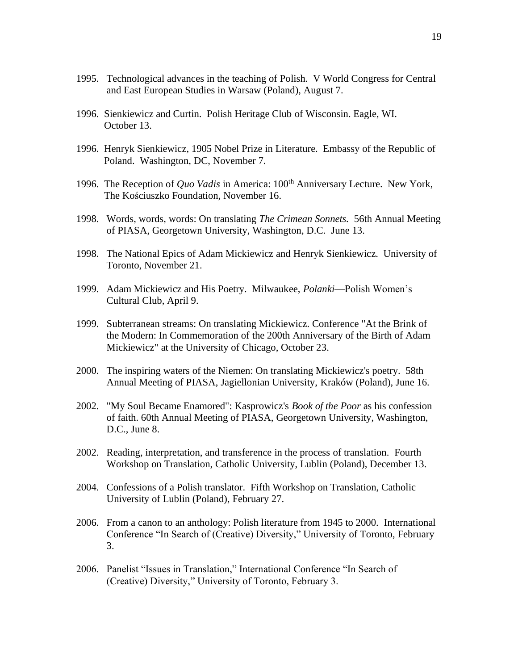- 1995. Technological advances in the teaching of Polish. V World Congress for Central and East European Studies in Warsaw (Poland), August 7.
- 1996. Sienkiewicz and Curtin. Polish Heritage Club of Wisconsin. Eagle, WI. October 13.
- 1996. Henryk Sienkiewicz, 1905 Nobel Prize in Literature. Embassy of the Republic of Poland. Washington, DC, November 7.
- 1996. The Reception of *Quo Vadis* in America: 100<sup>th</sup> Anniversary Lecture. New York, The Kościuszko Foundation, November 16.
- 1998. Words, words, words: On translating *The Crimean Sonnets.* 56th Annual Meeting of PIASA, Georgetown University, Washington, D.C. June 13.
- 1998. The National Epics of Adam Mickiewicz and Henryk Sienkiewicz. University of Toronto, November 21.
- 1999. Adam Mickiewicz and His Poetry. Milwaukee, *Polanki*—Polish Women's Cultural Club, April 9.
- 1999. Subterranean streams: On translating Mickiewicz. Conference "At the Brink of the Modern: In Commemoration of the 200th Anniversary of the Birth of Adam Mickiewicz" at the University of Chicago, October 23.
- 2000. The inspiring waters of the Niemen: On translating Mickiewicz's poetry. 58th Annual Meeting of PIASA, Jagiellonian University, Kraków (Poland), June 16.
- 2002. "My Soul Became Enamored": Kasprowicz's *Book of the Poor* as his confession of faith. 60th Annual Meeting of PIASA, Georgetown University, Washington, D.C., June 8.
- 2002. Reading, interpretation, and transference in the process of translation. Fourth Workshop on Translation, Catholic University, Lublin (Poland), December 13.
- 2004. Confessions of a Polish translator. Fifth Workshop on Translation, Catholic University of Lublin (Poland), February 27.
- 2006. From a canon to an anthology: Polish literature from 1945 to 2000. International Conference "In Search of (Creative) Diversity," University of Toronto, February 3.
- 2006. Panelist "Issues in Translation," International Conference "In Search of (Creative) Diversity," University of Toronto, February 3.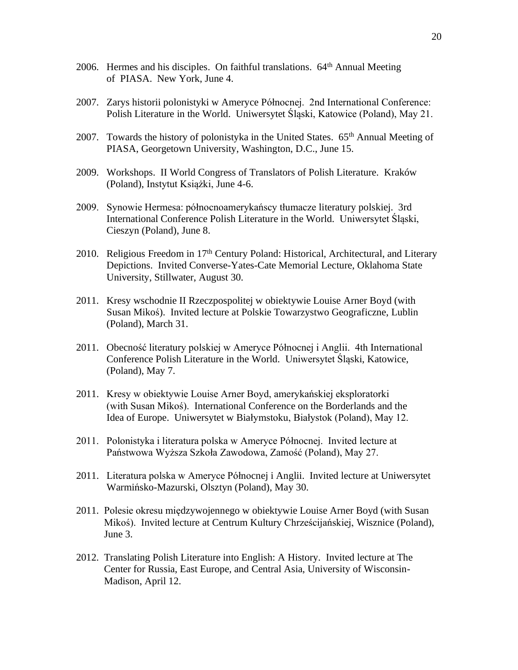- 2006. Hermes and his disciples. On faithful translations.  $64<sup>th</sup>$  Annual Meeting of PIASA. New York, June 4.
- 2007. Zarys historii polonistyki w Ameryce Północnej. 2nd International Conference: Polish Literature in the World. Uniwersytet Śląski, Katowice (Poland), May 21.
- 2007. Towards the history of polonistyka in the United States. 65<sup>th</sup> Annual Meeting of PIASA, Georgetown University, Washington, D.C., June 15.
- 2009. Workshops. II World Congress of Translators of Polish Literature. Kraków (Poland), Instytut Książki, June 4-6.
- 2009. Synowie Hermesa: północnoamerykańscy tłumacze literatury polskiej. 3rd International Conference Polish Literature in the World. Uniwersytet Śląski, Cieszyn (Poland), June 8.
- 2010. Religious Freedom in 17<sup>th</sup> Century Poland: Historical, Architectural, and Literary Depictions. Invited Converse-Yates-Cate Memorial Lecture, Oklahoma State University, Stillwater, August 30.
- 2011. Kresy wschodnie II Rzeczpospolitej w obiektywie Louise Arner Boyd (with Susan Mikoś). Invited lecture at Polskie Towarzystwo Geograficzne, Lublin (Poland), March 31.
- 2011. Obecność literatury polskiej w Ameryce Północnej i Anglii. 4th International Conference Polish Literature in the World. Uniwersytet Śląski, Katowice, (Poland), May 7.
- 2011. Kresy w obiektywie Louise Arner Boyd, amerykańskiej eksploratorki (with Susan Mikoś). International Conference on the Borderlands and the Idea of Europe. Uniwersytet w Białymstoku, Białystok (Poland), May 12.
- 2011. Polonistyka i literatura polska w Ameryce Północnej. Invited lecture at Państwowa Wyższa Szkoła Zawodowa, Zamość (Poland), May 27.
- 2011. Literatura polska w Ameryce Północnej i Anglii. Invited lecture at Uniwersytet Warmińsko-Mazurski, Olsztyn (Poland), May 30.
- 2011. Polesie okresu międzywojennego w obiektywie Louise Arner Boyd (with Susan Mikoś). Invited lecture at Centrum Kultury Chrześcijańskiej, Wisznice (Poland), June 3.
- 2012. Translating Polish Literature into English: A History. Invited lecture at The Center for Russia, East Europe, and Central Asia, University of Wisconsin- Madison, April 12.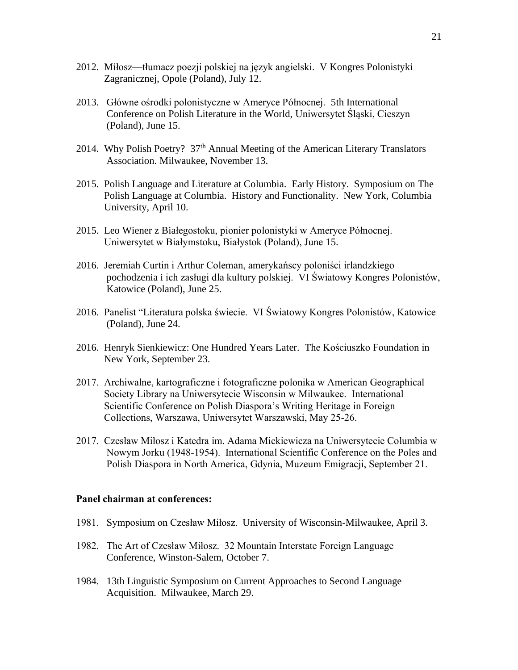- 2012. Miłosz—tłumacz poezji polskiej na język angielski. V Kongres Polonistyki Zagranicznej, Opole (Poland), July 12.
- 2013. Główne ośrodki polonistyczne w Ameryce Północnej. 5th International Conference on Polish Literature in the World, Uniwersytet Śląski, Cieszyn (Poland), June 15.
- 2014. Why Polish Poetry? 37<sup>th</sup> Annual Meeting of the American Literary Translators Association. Milwaukee, November 13.
- 2015. Polish Language and Literature at Columbia. Early History. Symposium on The Polish Language at Columbia. History and Functionality. New York, Columbia University, April 10.
- 2015. Leo Wiener z Białegostoku, pionier polonistyki w Ameryce Północnej. Uniwersytet w Białymstoku, Białystok (Poland), June 15.
- 2016. Jeremiah Curtin i Arthur Coleman, amerykańscy poloniści irlandzkiego pochodzenia i ich zasługi dla kultury polskiej. VI Światowy Kongres Polonistów, Katowice (Poland), June 25.
- 2016. Panelist "Literatura polska świecie. VI Światowy Kongres Polonistów, Katowice (Poland), June 24.
- 2016. Henryk Sienkiewicz: One Hundred Years Later. The Kościuszko Foundation in New York, September 23.
- 2017. Archiwalne, kartograficzne i fotograficzne polonika w American Geographical Society Library na Uniwersytecie Wisconsin w Milwaukee. International Scientific Conference on Polish Diaspora's Writing Heritage in Foreign Collections, Warszawa, Uniwersytet Warszawski, May 25-26.
- 2017. Czesław Miłosz i Katedra im. Adama Mickiewicza na Uniwersytecie Columbia w Nowym Jorku (1948-1954). International Scientific Conference on the Poles and Polish Diaspora in North America, Gdynia, Muzeum Emigracji, September 21.

## **Panel chairman at conferences:**

- 1981. Symposium on Czesław Miłosz. University of Wisconsin-Milwaukee, April 3.
- 1982. The Art of Czesław Miłosz. 32 Mountain Interstate Foreign Language Conference, Winston-Salem, October 7.
- 1984. 13th Linguistic Symposium on Current Approaches to Second Language Acquisition. Milwaukee, March 29.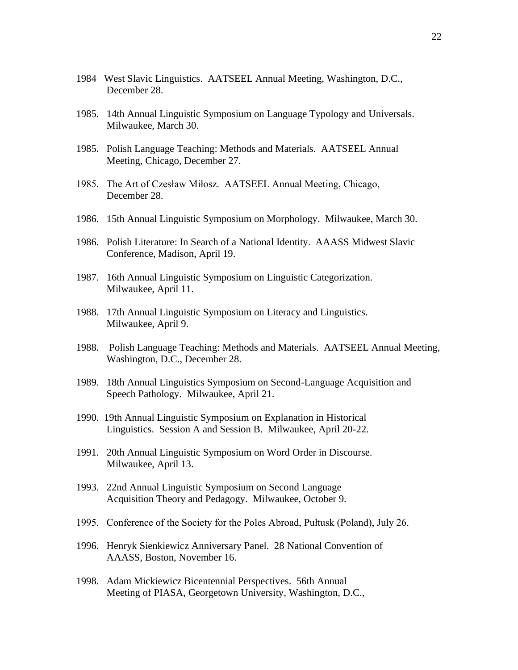- 1984 West Slavic Linguistics. AATSEEL Annual Meeting, Washington, D.C., December 28.
- 1985. 14th Annual Linguistic Symposium on Language Typology and Universals. Milwaukee, March 30.
- 1985. Polish Language Teaching: Methods and Materials. AATSEEL Annual Meeting, Chicago, December 27.
- 1985. The Art of Czesław Miłosz. AATSEEL Annual Meeting, Chicago, December 28.
- 1986. 15th Annual Linguistic Symposium on Morphology. Milwaukee, March 30.
- 1986. Polish Literature: In Search of a National Identity. AAASS Midwest Slavic Conference, Madison, April 19.
- 1987. 16th Annual Linguistic Symposium on Linguistic Categorization. Milwaukee, April 11.
- 1988. 17th Annual Linguistic Symposium on Literacy and Linguistics. Milwaukee, April 9.
- 1988. Polish Language Teaching: Methods and Materials. AATSEEL Annual Meeting, Washington, D.C., December 28.
- 1989. 18th Annual Linguistics Symposium on Second-Language Acquisition and Speech Pathology. Milwaukee, April 21.
- 1990. 19th Annual Linguistic Symposium on Explanation in Historical Linguistics. Session A and Session B. Milwaukee, April 20-22.
- 1991. 20th Annual Linguistic Symposium on Word Order in Discourse. Milwaukee, April 13.
- 1993. 22nd Annual Linguistic Symposium on Second Language Acquisition Theory and Pedagogy. Milwaukee, October 9.
- 1995. Conference of the Society for the Poles Abroad, Pułtusk (Poland), July 26.
- 1996. Henryk Sienkiewicz Anniversary Panel. 28 National Convention of AAASS, Boston, November 16.
- 1998. Adam Mickiewicz Bicentennial Perspectives. 56th Annual Meeting of PIASA, Georgetown University, Washington, D.C.,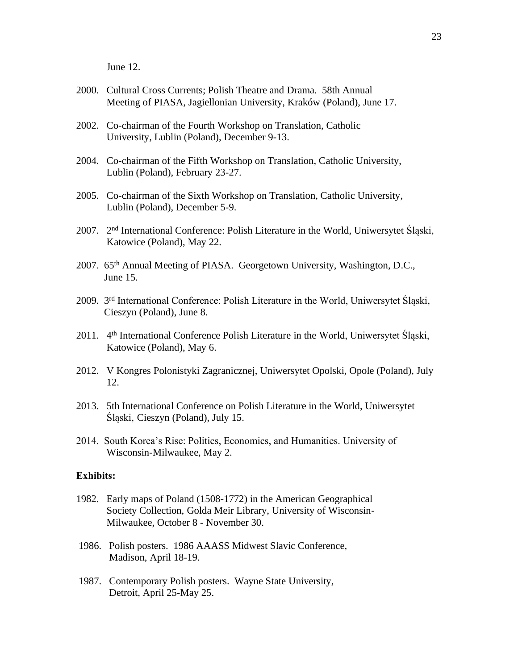June 12.

- 2000. Cultural Cross Currents; Polish Theatre and Drama. 58th Annual Meeting of PIASA, Jagiellonian University, Kraków (Poland), June 17.
- 2002. Co-chairman of the Fourth Workshop on Translation, Catholic University, Lublin (Poland), December 9-13.
- 2004. Co-chairman of the Fifth Workshop on Translation, Catholic University, Lublin (Poland), February 23-27.
- 2005. Co-chairman of the Sixth Workshop on Translation, Catholic University, Lublin (Poland), December 5-9.
- 2007. 2nd International Conference: Polish Literature in the World, Uniwersytet Śląski, Katowice (Poland), May 22.
- 2007. 65th Annual Meeting of PIASA. Georgetown University, Washington, D.C., June 15.
- 2009. 3rd International Conference: Polish Literature in the World, Uniwersytet Śląski, Cieszyn (Poland), June 8.
- 2011. 4<sup>th</sup> International Conference Polish Literature in the World, Uniwersytet Śląski, Katowice (Poland), May 6.
- 2012. V Kongres Polonistyki Zagranicznej, Uniwersytet Opolski, Opole (Poland), July 12.
- 2013. 5th International Conference on Polish Literature in the World, Uniwersytet Śląski, Cieszyn (Poland), July 15.
- 2014. South Korea's Rise: Politics, Economics, and Humanities. University of Wisconsin-Milwaukee, May 2.

### **Exhibits:**

- 1982. Early maps of Poland (1508-1772) in the American Geographical Society Collection, Golda Meir Library, University of Wisconsin-Milwaukee, October 8 - November 30.
- 1986. Polish posters. 1986 AAASS Midwest Slavic Conference, Madison, April 18-19.
- 1987. Contemporary Polish posters. Wayne State University, Detroit, April 25-May 25.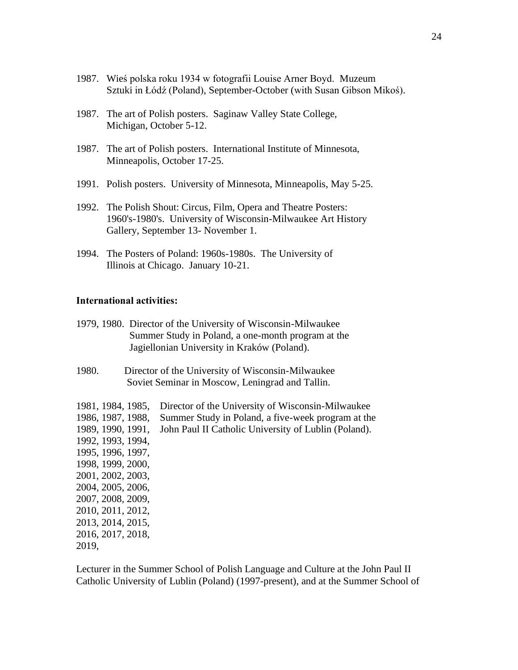- 1987. Wieś polska roku 1934 w fotografii Louise Arner Boyd. Muzeum Sztuki in Łódź (Poland), September-October (with Susan Gibson Mikoś).
- 1987. The art of Polish posters. Saginaw Valley State College, Michigan, October 5-12.
- 1987. The art of Polish posters. International Institute of Minnesota, Minneapolis, October 17-25.
- 1991. Polish posters. University of Minnesota, Minneapolis, May 5-25.
- 1992. The Polish Shout: Circus, Film, Opera and Theatre Posters: 1960's-1980's. University of Wisconsin-Milwaukee Art History Gallery, September 13- November 1.
- 1994. The Posters of Poland: 1960s-1980s. The University of Illinois at Chicago. January 10-21.

### **International activities:**

- 1979, 1980. Director of the University of Wisconsin-Milwaukee Summer Study in Poland, a one-month program at the Jagiellonian University in Kraków (Poland).
- 1980. Director of the University of Wisconsin-Milwaukee Soviet Seminar in Moscow, Leningrad and Tallin.

| 1981, 1984, 1985, | Director of the University of Wisconsin-Milwaukee    |
|-------------------|------------------------------------------------------|
| 1986, 1987, 1988, | Summer Study in Poland, a five-week program at the   |
| 1989, 1990, 1991, | John Paul II Catholic University of Lublin (Poland). |
| 1992, 1993, 1994, |                                                      |
| 1995, 1996, 1997, |                                                      |
| 1998, 1999, 2000, |                                                      |
| 2001, 2002, 2003, |                                                      |
| 2004, 2005, 2006, |                                                      |
| 2007, 2008, 2009, |                                                      |
| 2010, 2011, 2012, |                                                      |
| 2013, 2014, 2015, |                                                      |
| 2016, 2017, 2018, |                                                      |
| 2019,             |                                                      |

Lecturer in the Summer School of Polish Language and Culture at the John Paul II Catholic University of Lublin (Poland) (1997-present), and at the Summer School of